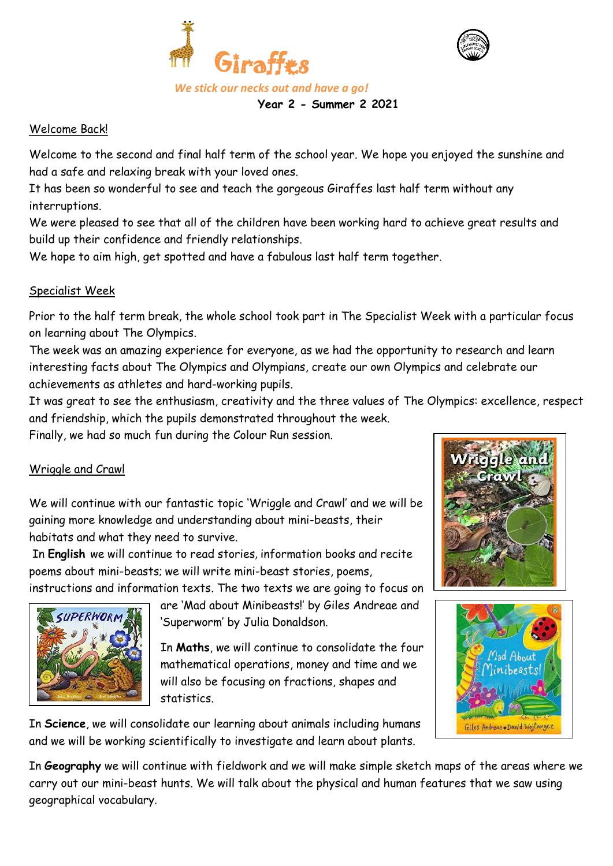



Welcome Back!

Welcome to the second and final half term of the school year. We hope you enjoyed the sunshine and had a safe and relaxing break with your loved ones.

 **Year 2 - Summer 2 2021**

It has been so wonderful to see and teach the gorgeous Giraffes last half term without any interruptions.

We were pleased to see that all of the children have been working hard to achieve great results and build up their confidence and friendly relationships.

We hope to aim high, get spotted and have a fabulous last half term together.

### Specialist Week

Prior to the half term break, the whole school took part in The Specialist Week with a particular focus on learning about The Olympics.

The week was an amazing experience for everyone, as we had the opportunity to research and learn interesting facts about The Olympics and Olympians, create our own Olympics and celebrate our achievements as athletes and hard-working pupils.

It was great to see the enthusiasm, creativity and the three values of The Olympics: excellence, respect and friendship, which the pupils demonstrated throughout the week.

Finally, we had so much fun during the Colour Run session.

# Wriggle and Crawl

We will continue with our fantastic topic 'Wriggle and Crawl' and we will be gaining more knowledge and understanding about mini-beasts, their habitats and what they need to survive.

In **English** we will continue to read stories, information books and recite poems about mini-beasts; we will write mini-beast stories, poems,

instructions and information texts. The two texts we are going to focus on



are 'Mad about Minibeasts!' by Giles Andreae and 'Superworm' by Julia Donaldson.

In **Maths**, we will continue to consolidate the four mathematical operations, money and time and we will also be focusing on fractions, shapes and statistics.





In **Science**, we will consolidate our learning about animals including humans and we will be working scientifically to investigate and learn about plants.

In **Geography** we will continue with fieldwork and we will make simple sketch maps of the areas where we carry out our mini-beast hunts. We will talk about the physical and human features that we saw using geographical vocabulary.